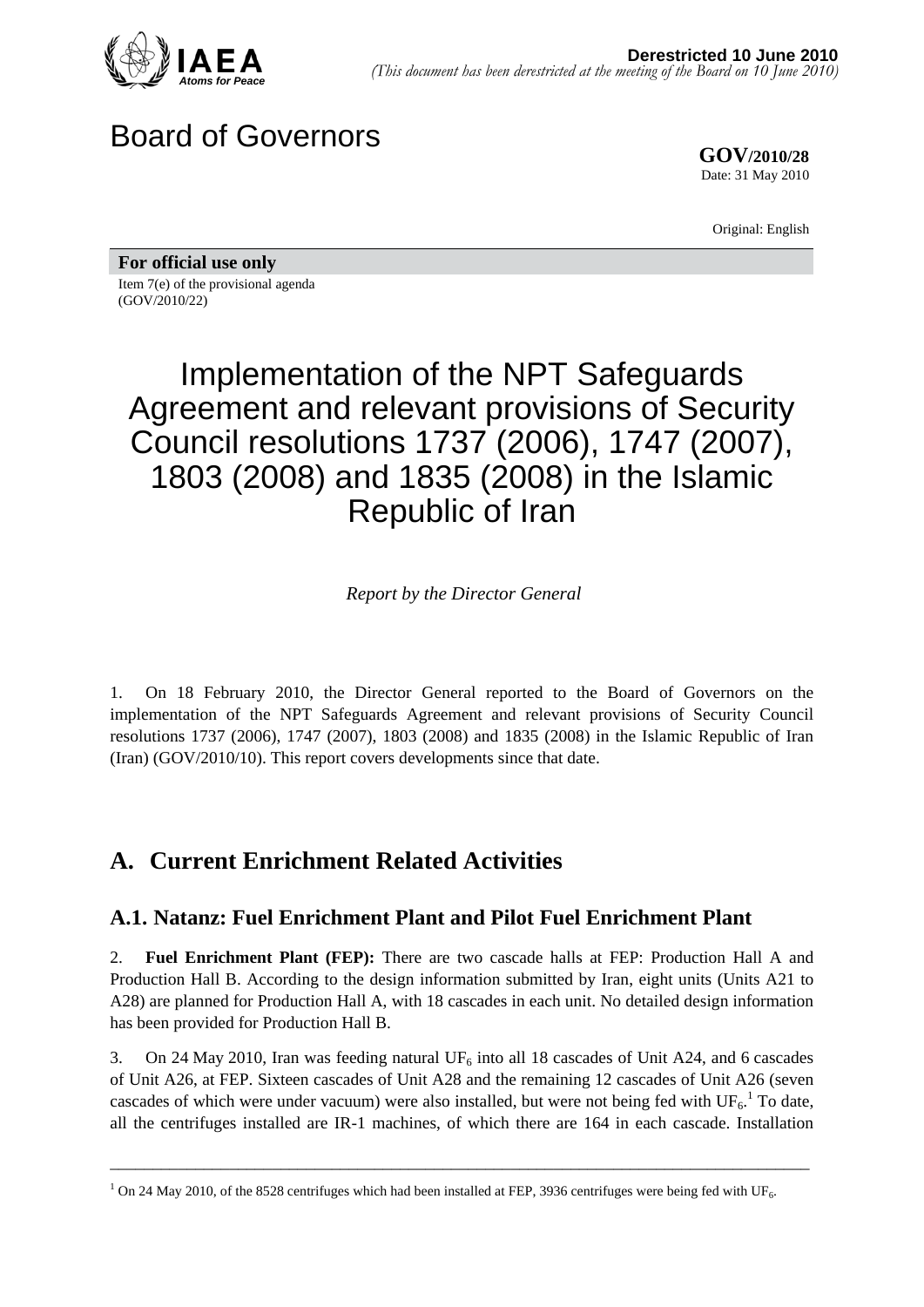

## Board of Governors

**GOV/2010/28** Date: 31 May 2010

Original: English

**For official use only**  Item 7(e) of the provisional agenda (GOV/2010/22)

# Implementation of the NPT Safeguards Agreement and relevant provisions of Security Council resolutions 1737 (2006), 1747 (2007), 1803 (2008) and 1835 (2008) in the Islamic Republic of Iran

*Report by the Director General* 

1. On 18 February 2010, the Director General reported to the Board of Governors on the implementation of the NPT Safeguards Agreement and relevant provisions of Security Council resolutions 1737 (2006), 1747 (2007), 1803 (2008) and 1835 (2008) in the Islamic Republic of Iran (Iran) (GOV/2010/10). This report covers developments since that date.

## **A. Current Enrichment Related Activities**

#### **A.1. Natanz: Fuel Enrichment Plant and Pilot Fuel Enrichment Plant**

2. **Fuel Enrichment Plant (FEP):** There are two cascade halls at FEP: Production Hall A and Production Hall B. According to the design information submitted by Iran, eight units (Units A21 to A28) are planned for Production Hall A, with 18 cascades in each unit. No detailed design information has been provided for Production Hall B.

3. On 24 May 2010, Iran was feeding natural UF<sub>6</sub> into all 18 cascades of Unit A24, and 6 cascades of Unit A26, at FEP. Sixteen cascades of Unit A28 and the remaining 12 cascades of Unit A26 (seven cascades of which were under vacuum) were also installed, but were not being fed with  $UF_6$ .<sup>1</sup> To date, all the centrifuges installed are IR-1 machines, of which there are 164 in each cascade. Installation

<sup>&</sup>lt;sup>1</sup> On 24 May 2010, of the 8528 centrifuges which had been installed at FEP, 3936 centrifuges were being fed with UF<sub>6</sub>.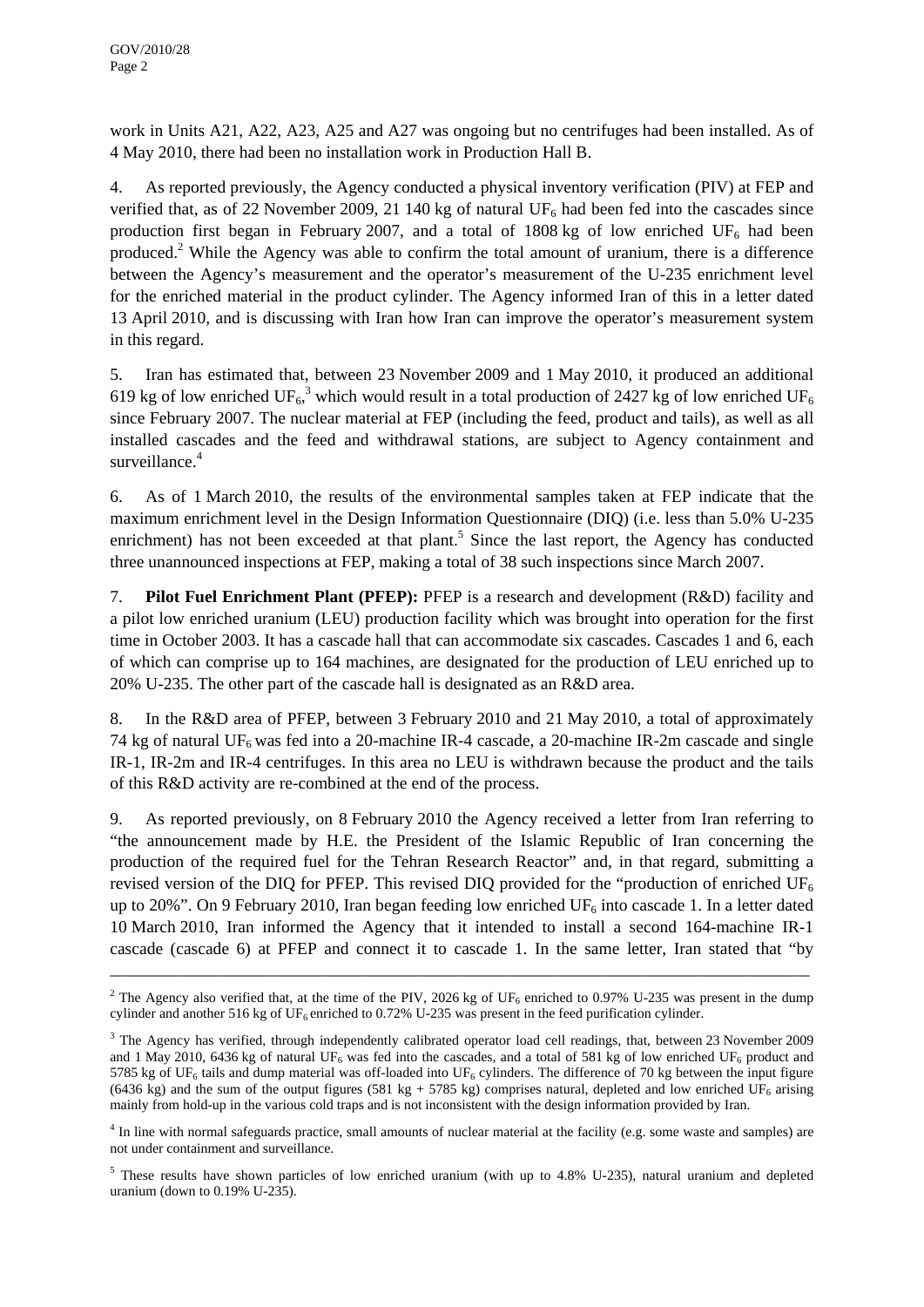work in Units A21, A22, A23, A25 and A27 was ongoing but no centrifuges had been installed. As of 4 May 2010, there had been no installation work in Production Hall B.

4. As reported previously, the Agency conducted a physical inventory verification (PIV) at FEP and verified that, as of 22 November 2009, 21 140 kg of natural  $UF_6$  had been fed into the cascades since production first began in February 2007, and a total of 1808 kg of low enriched UF<sub>6</sub> had been produced.<sup>2</sup> While the Agency was able to confirm the total amount of uranium, there is a difference between the Agency's measurement and the operator's measurement of the U-235 enrichment level for the enriched material in the product cylinder. The Agency informed Iran of this in a letter dated 13 April 2010, and is discussing with Iran how Iran can improve the operator's measurement system in this regard.

5. Iran has estimated that, between 23 November 2009 and 1 May 2010, it produced an additional 619 kg of low enriched UF<sub>6</sub>,<sup>3</sup> which would result in a total production of 2427 kg of low enriched UF<sub>6</sub> since February 2007. The nuclear material at FEP (including the feed, product and tails), as well as all installed cascades and the feed and withdrawal stations, are subject to Agency containment and surveillance.<sup>4</sup>

6. As of 1 March 2010, the results of the environmental samples taken at FEP indicate that the maximum enrichment level in the Design Information Questionnaire (DIQ) (i.e. less than 5.0% U-235 enrichment) has not been exceeded at that plant.<sup>5</sup> Since the last report, the Agency has conducted three unannounced inspections at FEP, making a total of 38 such inspections since March 2007.

7. **Pilot Fuel Enrichment Plant (PFEP):** PFEP is a research and development (R&D) facility and a pilot low enriched uranium (LEU) production facility which was brought into operation for the first time in October 2003. It has a cascade hall that can accommodate six cascades. Cascades 1 and 6, each of which can comprise up to 164 machines, are designated for the production of LEU enriched up to 20% U-235. The other part of the cascade hall is designated as an R&D area.

8. In the R&D area of PFEP, between 3 February 2010 and 21 May 2010, a total of approximately 74 kg of natural  $UF_6$  was fed into a 20-machine IR-4 cascade, a 20-machine IR-2m cascade and single IR-1, IR-2m and IR-4 centrifuges. In this area no LEU is withdrawn because the product and the tails of this R&D activity are re-combined at the end of the process.

9. As reported previously, on 8 February 2010 the Agency received a letter from Iran referring to "the announcement made by H.E. the President of the Islamic Republic of Iran concerning the production of the required fuel for the Tehran Research Reactor" and, in that regard, submitting a revised version of the DIQ for PFEP. This revised DIQ provided for the "production of enriched  $UF<sub>6</sub>$ up to 20%". On 9 February 2010, Iran began feeding low enriched  $UF_6$  into cascade 1. In a letter dated 10 March 2010, Iran informed the Agency that it intended to install a second 164-machine IR-1 cascade (cascade 6) at PFEP and connect it to cascade 1. In the same letter, Iran stated that "by

\_\_\_\_\_\_\_\_\_\_\_\_\_\_\_\_\_\_\_\_\_\_\_\_\_\_\_\_\_\_\_\_\_\_\_\_\_\_\_\_\_\_\_\_\_\_\_\_\_\_\_\_\_\_\_\_\_\_\_\_\_\_\_\_\_\_\_\_\_\_\_\_\_\_\_\_\_\_\_\_\_\_

<sup>4</sup> In line with normal safeguards practice, small amounts of nuclear material at the facility (e.g. some waste and samples) are not under containment and surveillance.

<sup>5</sup> These results have shown particles of low enriched uranium (with up to 4.8% U-235), natural uranium and depleted uranium (down to 0.19% U-235).

<sup>&</sup>lt;sup>2</sup> The Agency also verified that, at the time of the PIV, 2026 kg of UF<sub>6</sub> enriched to 0.97% U-235 was present in the dump cylinder and another 516 kg of UF<sub>6</sub> enriched to 0.72% U-235 was present in the feed purification cylinder.

<sup>&</sup>lt;sup>3</sup> The Agency has verified, through independently calibrated operator load cell readings, that, between 23 November 2009 and 1 May 2010, 6436 kg of natural UF<sub>6</sub> was fed into the cascades, and a total of 581 kg of low enriched UF<sub>6</sub> product and 5785 kg of UF<sub>6</sub> tails and dump material was off-loaded into UF<sub>6</sub> cylinders. The difference of 70 kg between the input figure (6436 kg) and the sum of the output figures (581 kg + 5785 kg) comprises natural, depleted and low enriched UF<sub>6</sub> arising mainly from hold-up in the various cold traps and is not inconsistent with the design information provided by Iran.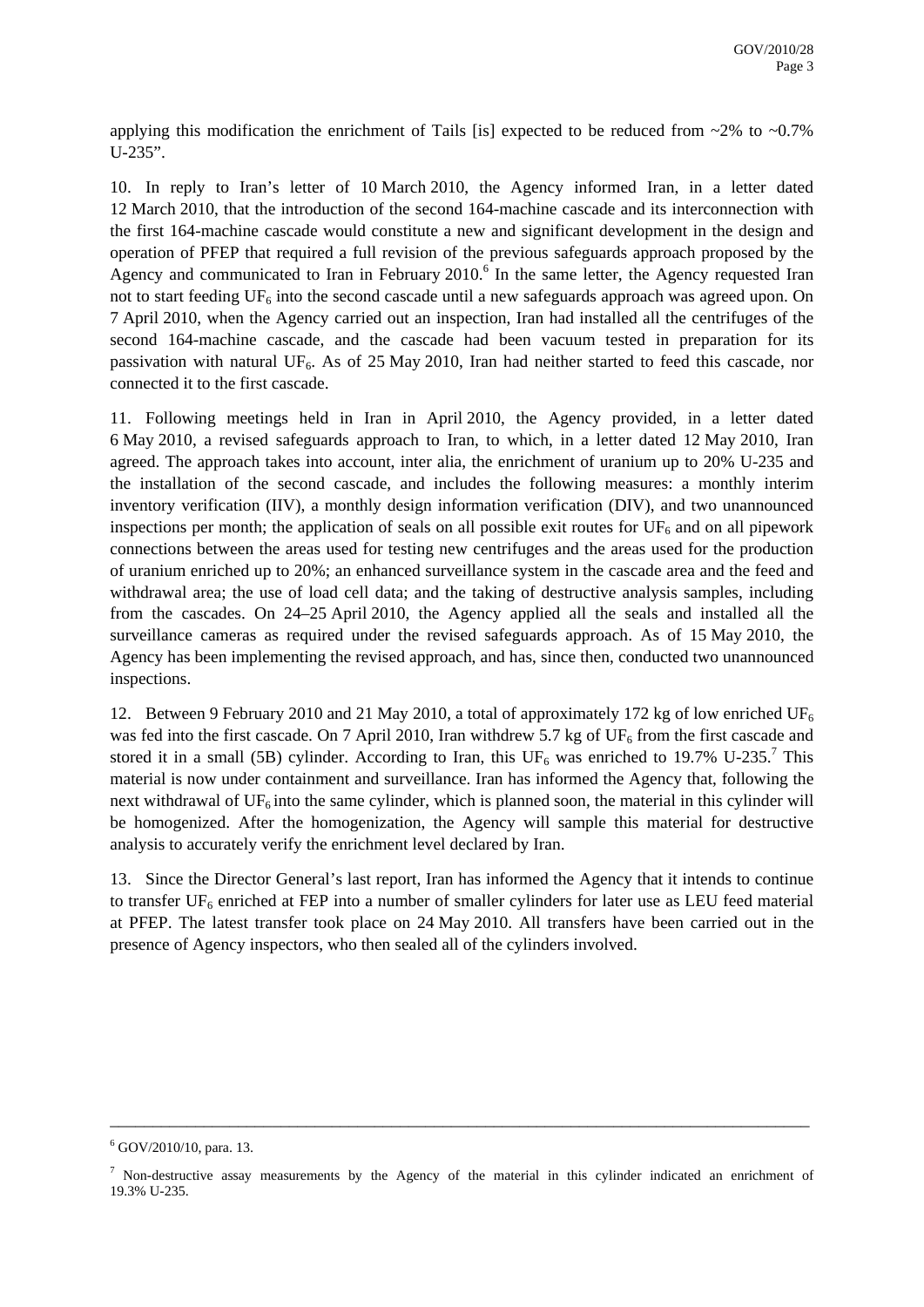applying this modification the enrichment of Tails [is] expected to be reduced from  $\sim$ 2% to  $\sim$ 0.7% U-235".

10. In reply to Iran's letter of 10 March 2010, the Agency informed Iran, in a letter dated 12 March 2010, that the introduction of the second 164-machine cascade and its interconnection with the first 164-machine cascade would constitute a new and significant development in the design and operation of PFEP that required a full revision of the previous safeguards approach proposed by the Agency and communicated to Iran in February  $2010$ .<sup>6</sup> In the same letter, the Agency requested Iran not to start feeding  $UF_6$  into the second cascade until a new safeguards approach was agreed upon. On 7 April 2010, when the Agency carried out an inspection, Iran had installed all the centrifuges of the second 164-machine cascade, and the cascade had been vacuum tested in preparation for its passivation with natural UF<sub>6</sub>. As of 25 May 2010, Iran had neither started to feed this cascade, nor connected it to the first cascade.

11. Following meetings held in Iran in April 2010, the Agency provided, in a letter dated 6 May 2010, a revised safeguards approach to Iran, to which, in a letter dated 12 May 2010, Iran agreed. The approach takes into account, inter alia, the enrichment of uranium up to 20% U-235 and the installation of the second cascade, and includes the following measures: a monthly interim inventory verification (IIV), a monthly design information verification (DIV), and two unannounced inspections per month; the application of seals on all possible exit routes for  $UF_6$  and on all pipework connections between the areas used for testing new centrifuges and the areas used for the production of uranium enriched up to 20%; an enhanced surveillance system in the cascade area and the feed and withdrawal area; the use of load cell data; and the taking of destructive analysis samples, including from the cascades. On 24–25 April 2010, the Agency applied all the seals and installed all the surveillance cameras as required under the revised safeguards approach. As of 15 May 2010, the Agency has been implementing the revised approach, and has, since then, conducted two unannounced inspections.

12. Between 9 February 2010 and 21 May 2010, a total of approximately 172 kg of low enriched UF<sub>6</sub> was fed into the first cascade. On 7 April 2010, Iran withdrew 5.7 kg of  $UF_6$  from the first cascade and stored it in a small (5B) cylinder. According to Iran, this  $UF_6$  was enriched to 19.7% U-235.<sup>7</sup> This material is now under containment and surveillance. Iran has informed the Agency that, following the next withdrawal of  $UF_6$  into the same cylinder, which is planned soon, the material in this cylinder will be homogenized. After the homogenization, the Agency will sample this material for destructive analysis to accurately verify the enrichment level declared by Iran.

13. Since the Director General's last report, Iran has informed the Agency that it intends to continue to transfer  $UF_6$  enriched at FEP into a number of smaller cylinders for later use as LEU feed material at PFEP. The latest transfer took place on 24 May 2010. All transfers have been carried out in the presence of Agency inspectors, who then sealed all of the cylinders involved.

 $6$  GOV/2010/10, para. 13.

<sup>&</sup>lt;sup>7</sup> Non-destructive assay measurements by the Agency of the material in this cylinder indicated an enrichment of 19.3% U-235.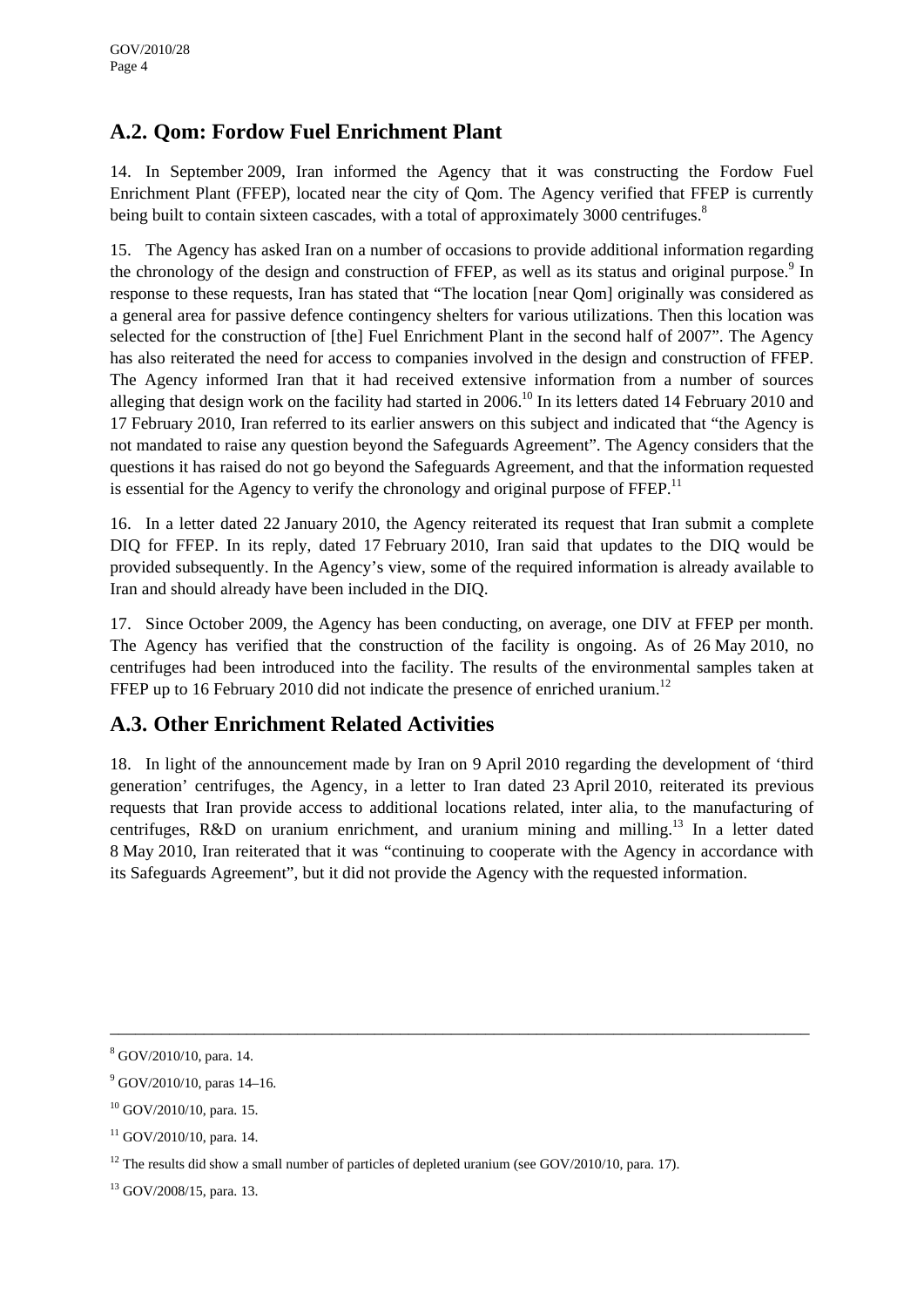#### **A.2. Qom: Fordow Fuel Enrichment Plant**

14. In September 2009, Iran informed the Agency that it was constructing the Fordow Fuel Enrichment Plant (FFEP), located near the city of Qom. The Agency verified that FFEP is currently being built to contain sixteen cascades, with a total of approximately 3000 centrifuges.<sup>8</sup>

15. The Agency has asked Iran on a number of occasions to provide additional information regarding the chronology of the design and construction of FFEP, as well as its status and original purpose.<sup>9</sup> In response to these requests, Iran has stated that "The location [near Qom] originally was considered as a general area for passive defence contingency shelters for various utilizations. Then this location was selected for the construction of [the] Fuel Enrichment Plant in the second half of 2007". The Agency has also reiterated the need for access to companies involved in the design and construction of FFEP. The Agency informed Iran that it had received extensive information from a number of sources alleging that design work on the facility had started in  $2006$ .<sup>10</sup> In its letters dated 14 February 2010 and 17 February 2010, Iran referred to its earlier answers on this subject and indicated that "the Agency is not mandated to raise any question beyond the Safeguards Agreement". The Agency considers that the questions it has raised do not go beyond the Safeguards Agreement, and that the information requested is essential for the Agency to verify the chronology and original purpose of  $FFEP<sup>11</sup>$ .

16. In a letter dated 22 January 2010, the Agency reiterated its request that Iran submit a complete DIQ for FFEP. In its reply, dated 17 February 2010, Iran said that updates to the DIQ would be provided subsequently. In the Agency's view, some of the required information is already available to Iran and should already have been included in the DIQ.

17. Since October 2009, the Agency has been conducting, on average, one DIV at FFEP per month. The Agency has verified that the construction of the facility is ongoing. As of 26 May 2010, no centrifuges had been introduced into the facility. The results of the environmental samples taken at FFEP up to 16 February 2010 did not indicate the presence of enriched uranium.<sup>12</sup>

#### **A.3. Other Enrichment Related Activities**

18. In light of the announcement made by Iran on 9 April 2010 regarding the development of 'third generation' centrifuges, the Agency, in a letter to Iran dated 23 April 2010, reiterated its previous requests that Iran provide access to additional locations related, inter alia, to the manufacturing of centrifuges, R&D on uranium enrichment, and uranium mining and milling.<sup>13</sup> In a letter dated 8 May 2010, Iran reiterated that it was "continuing to cooperate with the Agency in accordance with its Safeguards Agreement", but it did not provide the Agency with the requested information.

<sup>8</sup> GOV/2010/10, para. 14.

 $9^9$  GOV/2010/10, paras 14–16.

<sup>10</sup> GOV/2010/10, para. 15.

 $11$  GOV/2010/10, para. 14.

<sup>&</sup>lt;sup>12</sup> The results did show a small number of particles of depleted uranium (see GOV/2010/10, para. 17).

<sup>13</sup> GOV/2008/15, para. 13.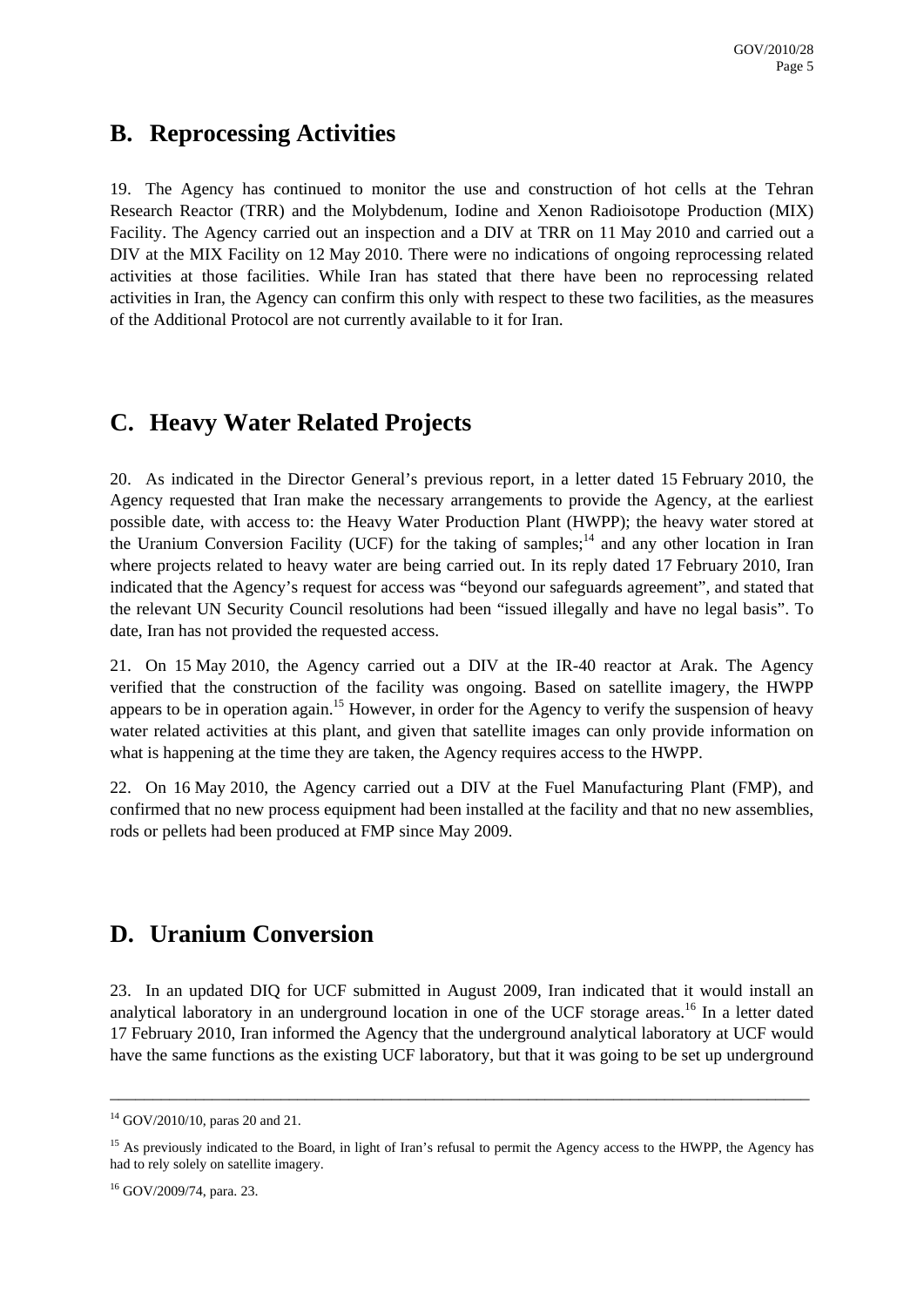#### **B. Reprocessing Activities**

19. The Agency has continued to monitor the use and construction of hot cells at the Tehran Research Reactor (TRR) and the Molybdenum, Iodine and Xenon Radioisotope Production (MIX) Facility. The Agency carried out an inspection and a DIV at TRR on 11 May 2010 and carried out a DIV at the MIX Facility on 12 May 2010. There were no indications of ongoing reprocessing related activities at those facilities. While Iran has stated that there have been no reprocessing related activities in Iran, the Agency can confirm this only with respect to these two facilities, as the measures of the Additional Protocol are not currently available to it for Iran.

### **C. Heavy Water Related Projects**

20. As indicated in the Director General's previous report, in a letter dated 15 February 2010, the Agency requested that Iran make the necessary arrangements to provide the Agency, at the earliest possible date, with access to: the Heavy Water Production Plant (HWPP); the heavy water stored at the Uranium Conversion Facility (UCF) for the taking of samples;<sup>14</sup> and any other location in Iran where projects related to heavy water are being carried out. In its reply dated 17 February 2010, Iran indicated that the Agency's request for access was "beyond our safeguards agreement", and stated that the relevant UN Security Council resolutions had been "issued illegally and have no legal basis". To date, Iran has not provided the requested access.

21. On 15 May 2010, the Agency carried out a DIV at the IR-40 reactor at Arak. The Agency verified that the construction of the facility was ongoing. Based on satellite imagery, the HWPP appears to be in operation again.<sup>15</sup> However, in order for the Agency to verify the suspension of heavy water related activities at this plant, and given that satellite images can only provide information on what is happening at the time they are taken, the Agency requires access to the HWPP.

22. On 16 May 2010, the Agency carried out a DIV at the Fuel Manufacturing Plant (FMP), and confirmed that no new process equipment had been installed at the facility and that no new assemblies, rods or pellets had been produced at FMP since May 2009.

### **D. Uranium Conversion**

23. In an updated DIQ for UCF submitted in August 2009, Iran indicated that it would install an analytical laboratory in an underground location in one of the UCF storage areas.<sup>16</sup> In a letter dated 17 February 2010, Iran informed the Agency that the underground analytical laboratory at UCF would have the same functions as the existing UCF laboratory, but that it was going to be set up underground

<sup>14</sup> GOV/2010/10, paras 20 and 21.

<sup>&</sup>lt;sup>15</sup> As previously indicated to the Board, in light of Iran's refusal to permit the Agency access to the HWPP, the Agency has had to rely solely on satellite imagery.

<sup>16</sup> GOV/2009/74, para. 23.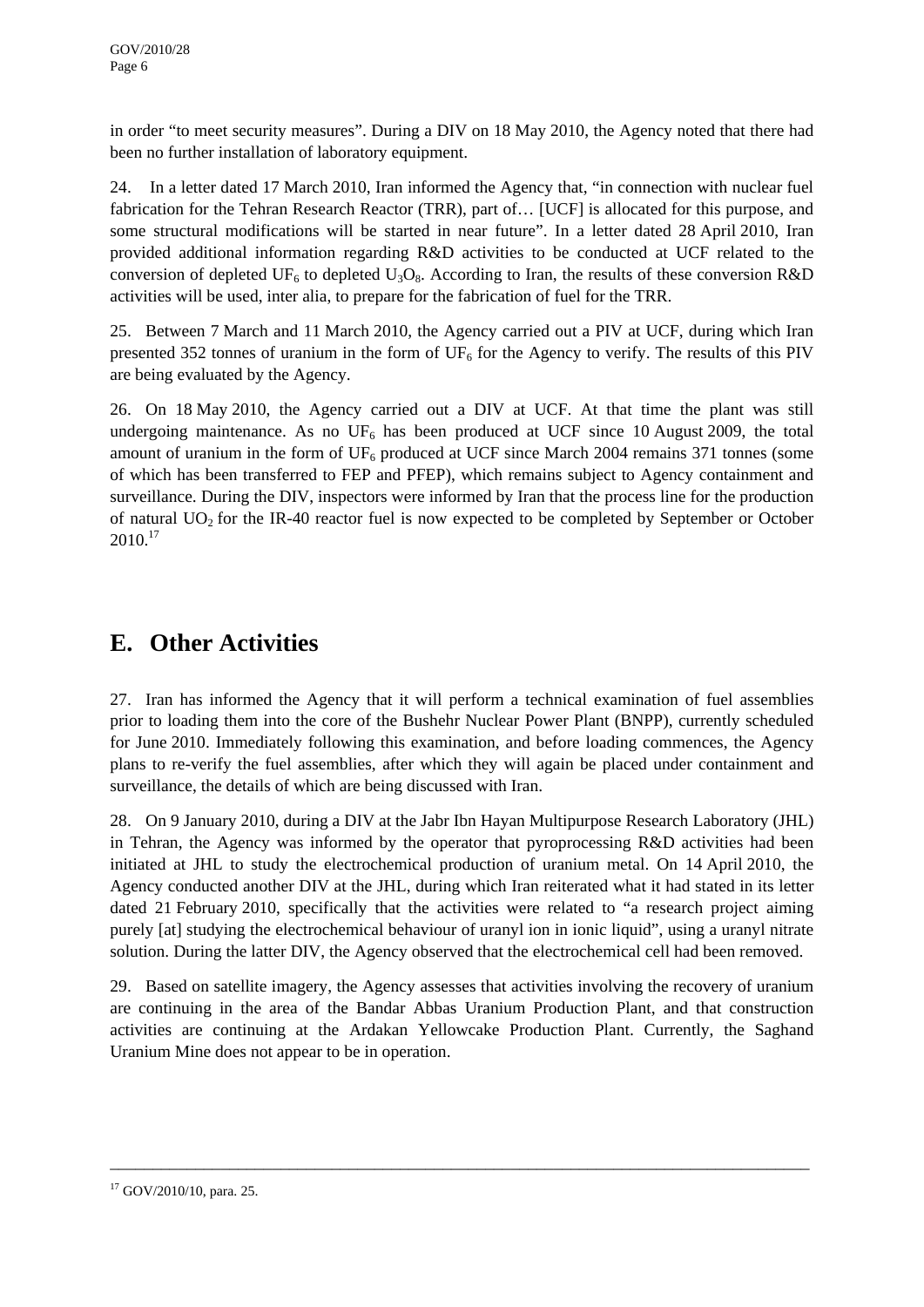in order "to meet security measures". During a DIV on 18 May 2010, the Agency noted that there had been no further installation of laboratory equipment.

24. In a letter dated 17 March 2010, Iran informed the Agency that, "in connection with nuclear fuel fabrication for the Tehran Research Reactor (TRR), part of… [UCF] is allocated for this purpose, and some structural modifications will be started in near future". In a letter dated 28 April 2010, Iran provided additional information regarding R&D activities to be conducted at UCF related to the conversion of depleted UF<sub>6</sub> to depleted U<sub>3</sub>O<sub>8</sub>. According to Iran, the results of these conversion R&D activities will be used, inter alia, to prepare for the fabrication of fuel for the TRR.

25. Between 7 March and 11 March 2010, the Agency carried out a PIV at UCF, during which Iran presented 352 tonnes of uranium in the form of  $UF_6$  for the Agency to verify. The results of this PIV are being evaluated by the Agency.

26. On 18 May 2010, the Agency carried out a DIV at UCF. At that time the plant was still undergoing maintenance. As no  $UF_6$  has been produced at UCF since 10 August 2009, the total amount of uranium in the form of  $UF_6$  produced at UCF since March 2004 remains 371 tonnes (some of which has been transferred to FEP and PFEP), which remains subject to Agency containment and surveillance. During the DIV, inspectors were informed by Iran that the process line for the production of natural  $UO<sub>2</sub>$  for the IR-40 reactor fuel is now expected to be completed by September or October  $2010.<sup>17</sup>$ 

## **E. Other Activities**

27. Iran has informed the Agency that it will perform a technical examination of fuel assemblies prior to loading them into the core of the Bushehr Nuclear Power Plant (BNPP), currently scheduled for June 2010. Immediately following this examination, and before loading commences, the Agency plans to re-verify the fuel assemblies, after which they will again be placed under containment and surveillance, the details of which are being discussed with Iran.

28. On 9 January 2010, during a DIV at the Jabr Ibn Hayan Multipurpose Research Laboratory (JHL) in Tehran, the Agency was informed by the operator that pyroprocessing R&D activities had been initiated at JHL to study the electrochemical production of uranium metal. On 14 April 2010, the Agency conducted another DIV at the JHL, during which Iran reiterated what it had stated in its letter dated 21 February 2010, specifically that the activities were related to "a research project aiming purely [at] studying the electrochemical behaviour of uranyl ion in ionic liquid", using a uranyl nitrate solution. During the latter DIV, the Agency observed that the electrochemical cell had been removed.

29. Based on satellite imagery, the Agency assesses that activities involving the recovery of uranium are continuing in the area of the Bandar Abbas Uranium Production Plant, and that construction activities are continuing at the Ardakan Yellowcake Production Plant. Currently, the Saghand Uranium Mine does not appear to be in operation.

<sup>17</sup> GOV/2010/10, para. 25.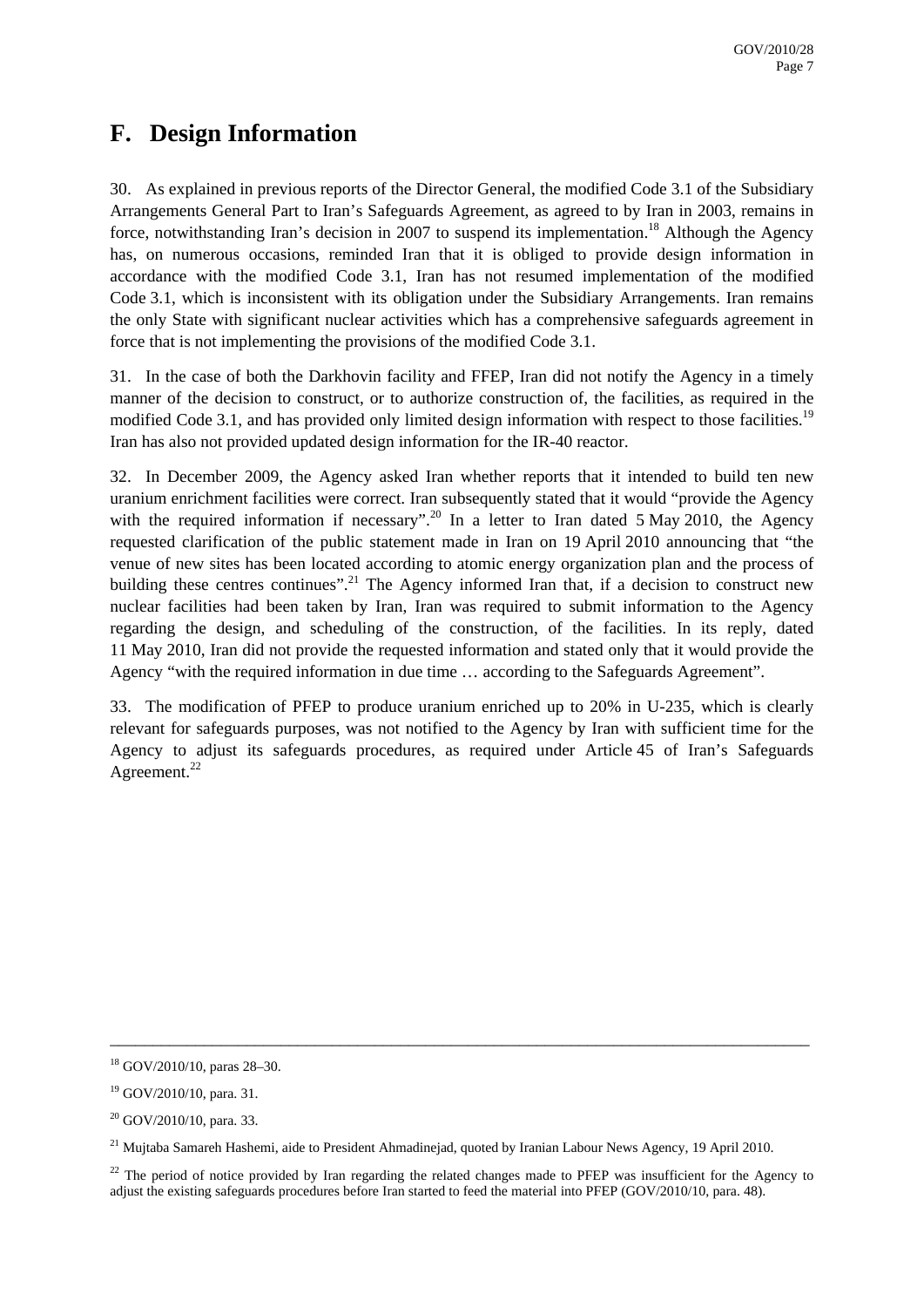### **F. Design Information**

30. As explained in previous reports of the Director General, the modified Code 3.1 of the Subsidiary Arrangements General Part to Iran's Safeguards Agreement, as agreed to by Iran in 2003, remains in force, notwithstanding Iran's decision in 2007 to suspend its implementation.<sup>18</sup> Although the Agency has, on numerous occasions, reminded Iran that it is obliged to provide design information in accordance with the modified Code 3.1, Iran has not resumed implementation of the modified Code 3.1, which is inconsistent with its obligation under the Subsidiary Arrangements. Iran remains the only State with significant nuclear activities which has a comprehensive safeguards agreement in force that is not implementing the provisions of the modified Code 3.1.

31. In the case of both the Darkhovin facility and FFEP, Iran did not notify the Agency in a timely manner of the decision to construct, or to authorize construction of, the facilities, as required in the modified Code 3.1, and has provided only limited design information with respect to those facilities.<sup>19</sup> Iran has also not provided updated design information for the IR-40 reactor.

32. In December 2009, the Agency asked Iran whether reports that it intended to build ten new uranium enrichment facilities were correct. Iran subsequently stated that it would "provide the Agency with the required information if necessary".<sup>20</sup> In a letter to Iran dated 5 May 2010, the Agency requested clarification of the public statement made in Iran on 19 April 2010 announcing that "the venue of new sites has been located according to atomic energy organization plan and the process of building these centres continues".<sup>21</sup> The Agency informed Iran that, if a decision to construct new nuclear facilities had been taken by Iran, Iran was required to submit information to the Agency regarding the design, and scheduling of the construction, of the facilities. In its reply, dated 11 May 2010, Iran did not provide the requested information and stated only that it would provide the Agency "with the required information in due time … according to the Safeguards Agreement".

33. The modification of PFEP to produce uranium enriched up to 20% in U-235, which is clearly relevant for safeguards purposes, was not notified to the Agency by Iran with sufficient time for the Agency to adjust its safeguards procedures, as required under Article 45 of Iran's Safeguards Agreement.<sup>22</sup>

<sup>18</sup> GOV/2010/10, paras 28–30.

 $19$  GOV/2010/10, para. 31.

<sup>&</sup>lt;sup>20</sup> GOV/2010/10, para. 33.

<sup>&</sup>lt;sup>21</sup> Muitaba Samareh Hashemi, aide to President Ahmadinejad, quoted by Iranian Labour News Agency, 19 April 2010.

<sup>&</sup>lt;sup>22</sup> The period of notice provided by Iran regarding the related changes made to PFEP was insufficient for the Agency to adjust the existing safeguards procedures before Iran started to feed the material into PFEP (GOV/2010/10, para. 48).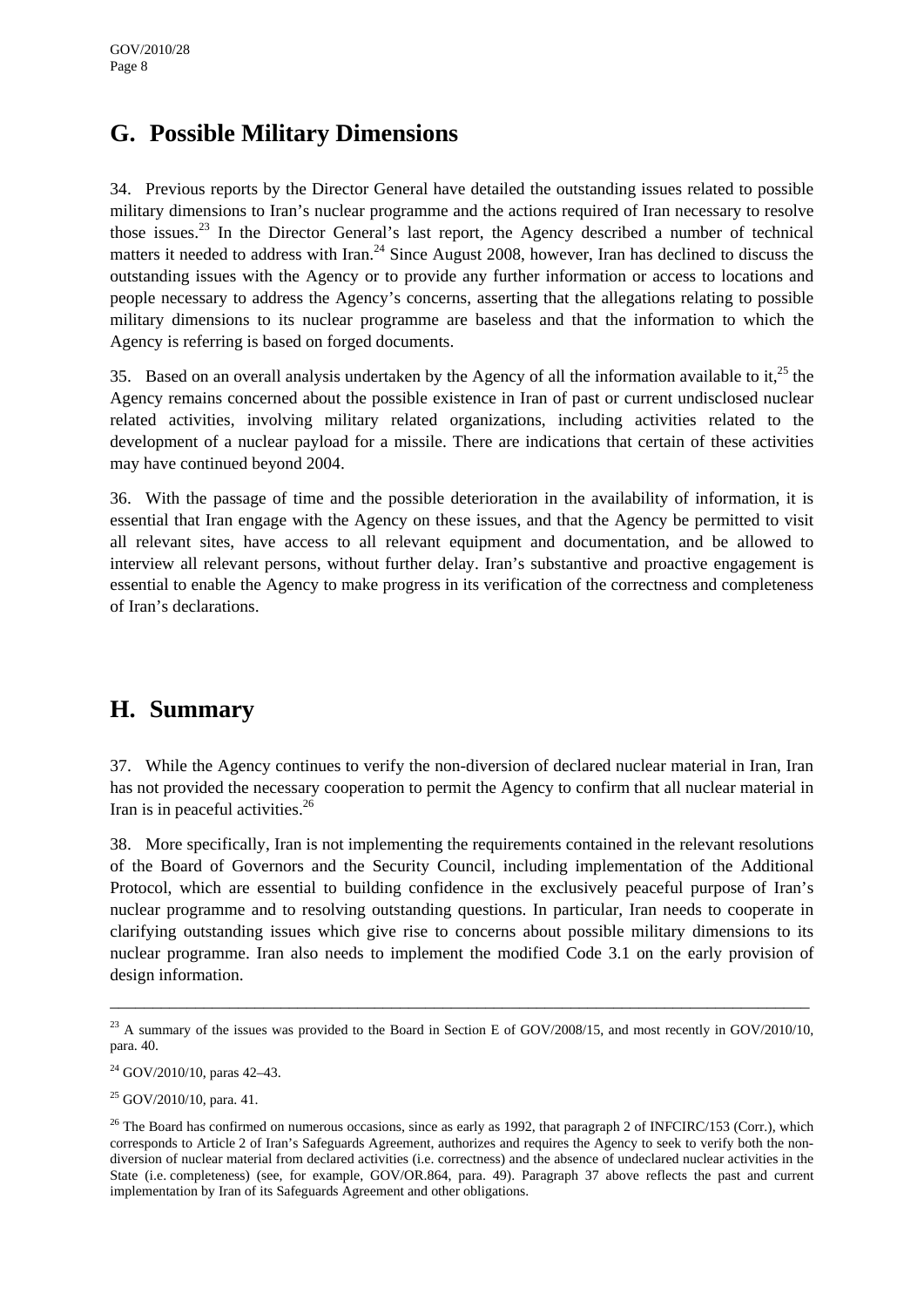### **G. Possible Military Dimensions**

34. Previous reports by the Director General have detailed the outstanding issues related to possible military dimensions to Iran's nuclear programme and the actions required of Iran necessary to resolve those issues.<sup>23</sup> In the Director General's last report, the Agency described a number of technical matters it needed to address with Iran.<sup>24</sup> Since August 2008, however, Iran has declined to discuss the outstanding issues with the Agency or to provide any further information or access to locations and people necessary to address the Agency's concerns, asserting that the allegations relating to possible military dimensions to its nuclear programme are baseless and that the information to which the Agency is referring is based on forged documents.

35. Based on an overall analysis undertaken by the Agency of all the information available to it,<sup>25</sup> the Agency remains concerned about the possible existence in Iran of past or current undisclosed nuclear related activities, involving military related organizations, including activities related to the development of a nuclear payload for a missile. There are indications that certain of these activities may have continued beyond 2004.

36. With the passage of time and the possible deterioration in the availability of information, it is essential that Iran engage with the Agency on these issues, and that the Agency be permitted to visit all relevant sites, have access to all relevant equipment and documentation, and be allowed to interview all relevant persons, without further delay. Iran's substantive and proactive engagement is essential to enable the Agency to make progress in its verification of the correctness and completeness of Iran's declarations.

### **H. Summary**

37. While the Agency continues to verify the non-diversion of declared nuclear material in Iran, Iran has not provided the necessary cooperation to permit the Agency to confirm that all nuclear material in Iran is in peaceful activities.<sup>26</sup>

38. More specifically, Iran is not implementing the requirements contained in the relevant resolutions of the Board of Governors and the Security Council, including implementation of the Additional Protocol, which are essential to building confidence in the exclusively peaceful purpose of Iran's nuclear programme and to resolving outstanding questions. In particular, Iran needs to cooperate in clarifying outstanding issues which give rise to concerns about possible military dimensions to its nuclear programme. Iran also needs to implement the modified Code 3.1 on the early provision of design information.

 $^{23}$  A summary of the issues was provided to the Board in Section E of GOV/2008/15, and most recently in GOV/2010/10, para. 40.

 $24$  GOV/2010/10, paras 42–43.

 $25$  GOV/2010/10, para. 41.

<sup>&</sup>lt;sup>26</sup> The Board has confirmed on numerous occasions, since as early as 1992, that paragraph 2 of INFCIRC/153 (Corr.), which corresponds to Article 2 of Iran's Safeguards Agreement, authorizes and requires the Agency to seek to verify both the nondiversion of nuclear material from declared activities (i.e. correctness) and the absence of undeclared nuclear activities in the State (i.e. completeness) (see, for example, GOV/OR.864, para. 49). Paragraph 37 above reflects the past and current implementation by Iran of its Safeguards Agreement and other obligations.